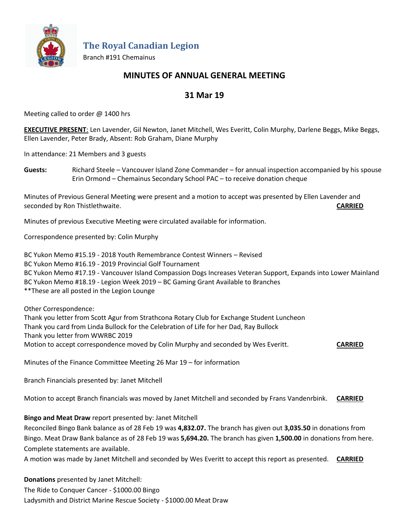

**The Royal Canadian Legion**

Branch #191 Chemainus

## **MINUTES OF ANNUAL GENERAL MEETING**

# **31 Mar 19**

Meeting called to order @ 1400 hrs

**EXECUTIVE PRESENT**: Len Lavender, Gil Newton, Janet Mitchell, Wes Everitt, Colin Murphy, Darlene Beggs, Mike Beggs, Ellen Lavender, Peter Brady, Absent: Rob Graham, Diane Murphy

In attendance: 21 Members and 3 guests

**Guests:** Richard Steele – Vancouver Island Zone Commander – for annual inspection accompanied by his spouse Erin Ormond – Chemainus Secondary School PAC – to receive donation cheque

Minutes of Previous General Meeting were present and a motion to accept was presented by Ellen Lavender and seconded by Ron Thistlethwaite. **CARRIED**

Minutes of previous Executive Meeting were circulated available for information.

Correspondence presented by: Colin Murphy

BC Yukon Memo #15.19 - 2018 Youth Remembrance Contest Winners – Revised BC Yukon Memo #16.19 - 2019 Provincial Golf Tournament BC Yukon Memo #17.19 - Vancouver Island Compassion Dogs Increases Veteran Support, Expands into Lower Mainland BC Yukon Memo #18.19 - Legion Week 2019 – BC Gaming Grant Available to Branches \*\*These are all posted in the Legion Lounge

Other Correspondence:

Thank you letter from Scott Agur from Strathcona Rotary Club for Exchange Student Luncheon Thank you card from Linda Bullock for the Celebration of Life for her Dad, Ray Bullock Thank you letter from WWRBC 2019 Motion to accept correspondence moved by Colin Murphy and seconded by Wes Everitt. **CARRIED**

Minutes of the Finance Committee Meeting 26 Mar 19 – for information

Branch Financials presented by: Janet Mitchell

Motion to accept Branch financials was moved by Janet Mitchell and seconded by Frans Vandenrbink. **CARRIED**

## **Bingo and Meat Draw** report presented by: Janet Mitchell

Reconciled Bingo Bank balance as of 28 Feb 19 was **4,832.07.** The branch has given out **3,035.50** in donations from Bingo. Meat Draw Bank balance as of 28 Feb 19 was **5,694.20.** The branch has given **1,500.00** in donations from here. Complete statements are available.

A motion was made by Janet Mitchell and seconded by Wes Everitt to accept this report as presented. **CARRIED**

**Donations** presented by Janet Mitchell:

The Ride to Conquer Cancer - \$1000.00 Bingo Ladysmith and District Marine Rescue Society - \$1000.00 Meat Draw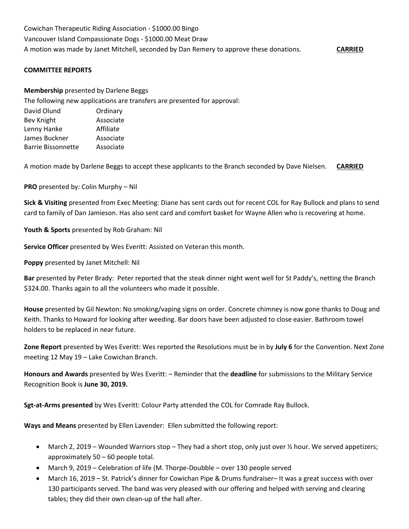Cowichan Therapeutic Riding Association - \$1000.00 Bingo Vancouver Island Compassionate Dogs - \$1000.00 Meat Draw A motion was made by Janet Mitchell, seconded by Dan Remery to approve these donations. **CARRIED**

### **COMMITTEE REPORTS**

#### **Membership** presented by Darlene Beggs

The following new applications are transfers are presented for approval:

| David Olund               | Ordinary  |
|---------------------------|-----------|
| Bev Knight                | Associate |
| Lenny Hanke               | Affiliate |
| James Buckner             | Associate |
| <b>Barrie Bissonnette</b> | Associate |

A motion made by Darlene Beggs to accept these applicants to the Branch seconded by Dave Nielsen. **CARRIED**

**PRO** presented by: Colin Murphy – Nil

**Sick & Visiting** presented from Exec Meeting: Diane has sent cards out for recent COL for Ray Bullock and plans to send card to family of Dan Jamieson. Has also sent card and comfort basket for Wayne Allen who is recovering at home.

**Youth & Sports** presented by Rob Graham: Nil

**Service Officer** presented by Wes Everitt: Assisted on Veteran this month.

**Poppy** presented by Janet Mitchell: Nil

**Bar** presented by Peter Brady: Peter reported that the steak dinner night went well for St Paddy's, netting the Branch \$324.00. Thanks again to all the volunteers who made it possible.

**House** presented by Gil Newton: No smoking/vaping signs on order. Concrete chimney is now gone thanks to Doug and Keith. Thanks to Howard for looking after weeding. Bar doors have been adjusted to close easier. Bathroom towel holders to be replaced in near future.

**Zone Report** presented by Wes Everitt: Wes reported the Resolutions must be in by **July 6** for the Convention. Next Zone meeting 12 May 19 – Lake Cowichan Branch.

**Honours and Awards** presented by Wes Everitt: – Reminder that the **deadline** for submissions to the Military Service Recognition Book is **June 30, 2019.**

**Sgt-at-Arms presented** by Wes Everitt: Colour Party attended the COL for Comrade Ray Bullock.

**Ways and Means** presented by Ellen Lavender: Ellen submitted the following report:

- March 2, 2019 Wounded Warriors stop They had a short stop, only just over ½ hour. We served appetizers; approximately 50 – 60 people total.
- March 9, 2019 Celebration of life (M. Thorpe-Doubble over 130 people served
- March 16, 2019 St. Patrick's dinner for Cowichan Pipe & Drums fundraiser– It was a great success with over 130 participants served. The band was very pleased with our offering and helped with serving and clearing tables; they did their own clean-up of the hall after.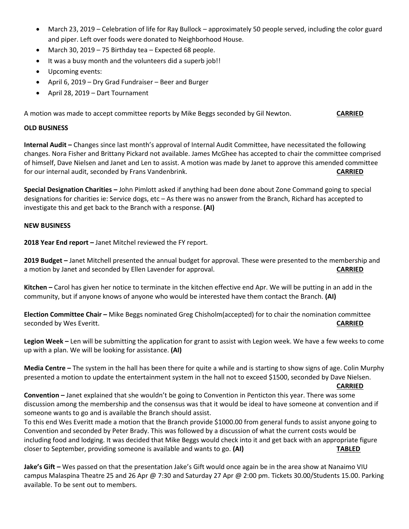- March 23, 2019 Celebration of life for Ray Bullock approximately 50 people served, including the color guard and piper. Left over foods were donated to Neighborhood House.
- March 30, 2019 75 Birthday tea Expected 68 people.
- It was a busy month and the volunteers did a superb job!!
- Upcoming events:
- April 6, 2019 Dry Grad Fundraiser Beer and Burger
- April 28, 2019 Dart Tournament

A motion was made to accept committee reports by Mike Beggs seconded by Gil Newton. **CARRIED**

#### **OLD BUSINESS**

**Internal Audit –** Changes since last month's approval of Internal Audit Committee, have necessitated the following changes. Nora Fisher and Brittany Pickard not available. James McGhee has accepted to chair the committee comprised of himself, Dave Nielsen and Janet and Len to assist. A motion was made by Janet to approve this amended committee for our internal audit, seconded by Frans Vandenbrink. **CARRIED**

**Special Designation Charities –** John Pimlott asked if anything had been done about Zone Command going to special designations for charities ie: Service dogs, etc – As there was no answer from the Branch, Richard has accepted to investigate this and get back to the Branch with a response. **(AI)**

### **NEW BUSINESS**

**2018 Year End report –** Janet Mitchel reviewed the FY report.

**2019 Budget –** Janet Mitchell presented the annual budget for approval. These were presented to the membership and a motion by Janet and seconded by Ellen Lavender for approval. **CARRIED**

**Kitchen –** Carol has given her notice to terminate in the kitchen effective end Apr. We will be putting in an add in the community, but if anyone knows of anyone who would be interested have them contact the Branch. **(AI)**

**Election Committee Chair –** Mike Beggs nominated Greg Chisholm(accepted) for to chair the nomination committee seconded by Wes Everitt. **CARRIED**

**Legion Week –** Len will be submitting the application for grant to assist with Legion week. We have a few weeks to come up with a plan. We will be looking for assistance. **(AI)**

**Media Centre –** The system in the hall has been there for quite a while and is starting to show signs of age. Colin Murphy presented a motion to update the entertainment system in the hall not to exceed \$1500, seconded by Dave Nielsen.

**CARRIED**

**Convention –** Janet explained that she wouldn't be going to Convention in Penticton this year. There was some discussion among the membership and the consensus was that it would be ideal to have someone at convention and if someone wants to go and is available the Branch should assist.

To this end Wes Everitt made a motion that the Branch provide \$1000.00 from general funds to assist anyone going to Convention and seconded by Peter Brady. This was followed by a discussion of what the current costs would be including food and lodging. It was decided that Mike Beggs would check into it and get back with an appropriate figure closer to September, providing someone is available and wants to go. **(AI) TABLED**

**Jake's Gift –** Wes passed on that the presentation Jake's Gift would once again be in the area show at Nanaimo VIU campus Malaspina Theatre 25 and 26 Apr @ 7:30 and Saturday 27 Apr @ 2:00 pm. Tickets 30.00/Students 15.00. Parking available. To be sent out to members.